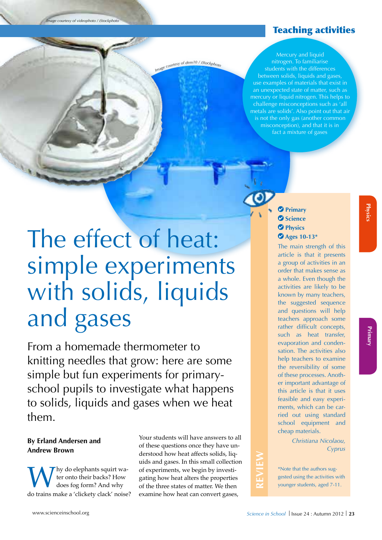*Image courtesy of videophoto / iStockphoto*

# Teaching activities

Image courtesy of dem10 / iStockphote

Mercury and liquid nitrogen. To familiarise students with the differences between solids, liquids and gases, use examples of materials that exist in an unexpected state of matter, such as mercury or liquid nitrogen. This helps to challenge misconceptions such as 'all metals are solids'. Also point out that air is not the only gas (another common misconception), and that it is in fact a mixture of gases

# The effect of heat: simple experiments with solids, liquids and gases

From a homemade thermometer to knitting needles that grow: here are some simple but fun experiments for primaryschool pupils to investigate what happens to solids, liquids and gases when we heat them.

# **By Erland Andersen and Andrew Brown**

Why do elephants squirt wa-<br>does fog form? And why<br>do trains make a 'clickety clack' noise? ter onto their backs? How does fog form? And why

Your students will have answers to all of these questions once they have understood how heat affects solids, liquids and gases. In this small collection of experiments, we begin by investigating how heat alters the properties of the three states of matter. We then examine how heat can convert gases,

# **Primary Science Physics Ages 10-13\***

The main strength of this article is that it presents a group of activities in an order that makes sense as a whole. Even though the activities are likely to be known by many teachers, the suggested sequence and questions will help teachers approach some rather difficult concepts, such as heat transfer, evaporation and condensation. The activities also help teachers to examine the reversibility of some of these processes. Another important advantage of this article is that it uses feasible and easy experiments, which can be carried out using standard school equipment and cheap materials.

> *Christiana Nicolaou, Cyprus*

\*Note that the authors suggested using the activities with younger students, aged 7-11.

**REVIEW**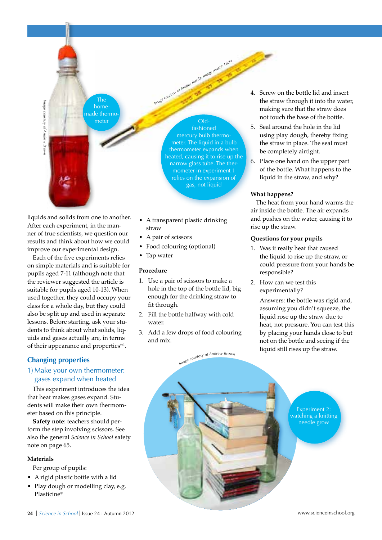таве соитеу от Апатем втом

homemade thermo-

The

meter Oldfashioned

*Image courtesy of Andres Rueda; image source: Flickr*

mercury bulb thermometer. The liquid in a bulb thermometer expands when heated, causing it to rise up the narrow glass tube. The thermometer in experiment 1 relies on the expansion of gas, not liquid

liquids and solids from one to another. After each experiment, in the manner of true scientists, we question our results and think about how we could improve our experimental design.

Each of the five experiments relies on simple materials and is suitable for pupils aged 7-11 (although note that the reviewer suggested the article is suitable for pupils aged 10-13). When used together, they could occupy your class for a whole day, but they could also be split up and used in separate lessons. Before starting, ask your students to think about what solids, liquids and gases actually are, in terms of their appearance and properties<sup>w1</sup>. Plasticine® *Image courtesy of Andrew Brown*

# **Changing properties**

# 1) Make your own thermometer: gases expand when heated

This experiment introduces the idea that heat makes gases expand. Students will make their own thermometer based on this principle.

**Safety note**: teachers should perform the step involving scissors. See also the general *Science in School* safety note on page 65.

## **Materials**

Per group of pupils:

- • A rigid plastic bottle with a lid
- Play dough or modelling clay, e.g.<br>Plasticine®
- • A transparent plastic drinking straw
- A pair of scissors
- • Food colouring (optional)
- Tap water

# **Procedure**

- 1. Use a pair of scissors to make a hole in the top of the bottle lid, big enough for the drinking straw to fit through.
- 2. Fill the bottle halfway with cold water.
- 3. Add a few drops of food colouring and mix.
- 4. Screw on the bottle lid and insert the straw through it into the water, making sure that the straw does not touch the base of the bottle.
- 5. Seal around the hole in the lid using play dough, thereby fixing the straw in place. The seal must be completely airtight.
- 6. Place one hand on the upper part of the bottle. What happens to the liquid in the straw, and why?

## **What happens?**

The heat from your hand warms the air inside the bottle. The air expands and pushes on the water, causing it to rise up the straw.

#### **Questions for your pupils**

- 1. Was it really heat that caused the liquid to rise up the straw, or could pressure from your hands be responsible?
- 2. How can we test this experimentally?

Answers: the bottle was rigid and, assuming you didn't squeeze, the liquid rose up the straw due to heat, not pressure. You can test this by placing your hands close to but not on the bottle and seeing if the liquid still rises up the straw.

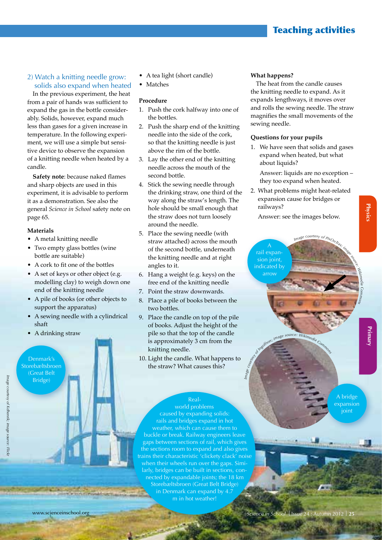# Teaching activities

# 2) Watch a knitting needle grow: solids also expand when heated

In the previous experiment, the heat from a pair of hands was sufficient to expand the gas in the bottle considerably. Solids, however, expand much less than gases for a given increase in temperature. In the following experiment, we will use a simple but sensitive device to observe the expansion of a knitting needle when heated by a candle.

**Safety note**: because naked flames and sharp objects are used in this experiment, it is advisable to perform it as a demonstration. See also the general *Science in School* safety note on page 65.

#### **Materials**

- A metal knitting needle
- Two empty glass bottles (wine bottle are suitable)
- A cork to fit one of the bottles
- A set of keys or other object (e.g. modelling clay) to weigh down one end of the knitting needle
- • A pile of books (or other objects to support the apparatus)
- A sewing needle with a cylindrical shaft
- A drinking straw

Denmark's Storebæltsbroen (Great Belt Bridge)

- A tea light (short candle)
- **Matches**

#### **Procedure**

- 1. Push the cork halfway into one of the bottles.
- 2. Push the sharp end of the knitting needle into the side of the cork, so that the knitting needle is just above the rim of the bottle.
- 3. Lay the other end of the knitting needle across the mouth of the second bottle.
- 4. Stick the sewing needle through the drinking straw, one third of the way along the straw's length. The hole should be small enough that the straw does not turn loosely around the needle.
- 5. Place the sewing needle (with straw attached) across the mouth of the second bottle, underneath the knitting needle and at right angles to it.
- 6. Hang a weight (e.g. keys) on the free end of the knitting needle
- 7. Point the straw downwards.
- 8. Place a pile of books between the two bottles.
- 9. Place the candle on top of the pile of books. Adjust the height of the pile so that the top of the candle is approximately 3 cm from the knitting needle.
- 10. Light the candle. What happens to the straw? What causes this?

# Real-

world problems caused by expanding solids: rails and bridges expand in hot weather, which can cause them to buckle or break. Railway engineers leave gaps between sections of rail, which gives the sections room to expand and also gives trains their characteristic 'clickety clack' noise when their wheels run over the gaps. Similarly, bridges can be built in sections, connected by expandable joints; the 18 km Storebæltsbroen (Great Belt Bridge) in Denmark can expand by 4.7 m in hot weather!

#### **What happens?**

The heat from the candle causes the knitting needle to expand. As it expands lengthways, it moves over and rolls the sewing needle. The straw magnifies the small movements of the sewing needle.

#### **Questions for your pupils**

1. We have seen that solids and gases expand when heated, but what about liquids?

Answer: liquids are no exception – they too expand when heated.

2. What problems might heat-related expansion cause for bridges or railways?

Answer: see the images below.



image source: Wikimedia Con

**Physics Physics Physics** Primar

*edia Com m*

**Physic** 

A bridge expansion ioint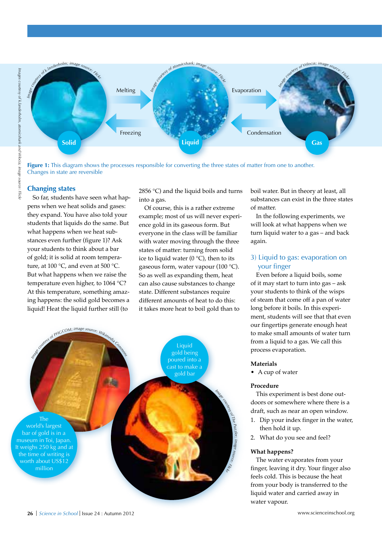

**Figure 1:** This diagram shows the processes responsible for converting the three states of matter from one to another. Changes in state are reversible

#### **Changing states**

So far, students have seen what happens when we heat solids and gases: they expand. You have also told your students that liquids do the same. But what happens when we heat substances even further (figure 1)? Ask your students to think about a bar of gold; it is solid at room temperature, at 100 °C, and even at 500 °C. But what happens when we raise the temperature even higher, to 1064 °C? At this temperature, something amazing happens: the solid gold becomes a liquid! Heat the liquid further still (to

2856 °C) and the liquid boils and turns into a gas.

Of course, this is a rather extreme example; most of us will never experience gold in its gaseous form. But everyone in the class will be familiar with water moving through the three states of matter: turning from solid ice to liquid water (0  $^{\circ}$ C), then to its gaseous form, water vapour (100 °C). So as well as expanding them, heat can also cause substances to change state. Different substances require different amounts of heat to do this: it takes more heat to boil gold than to



boil water. But in theory at least, all substances can exist in the three states of matter.

In the following experiments, we will look at what happens when we turn liquid water to a gas – and back again.

# 3) Liquid to gas: evaporation on your finger

Even before a liquid boils, some of it may start to turn into gas – ask your students to think of the wisps of steam that come off a pan of water long before it boils. In this experiment, students will see that that even our fingertips generate enough heat to make small amounts of water turn from a liquid to a gas. We call this process evaporation.

#### **Materials**

• A cup of water

#### **Procedure**

This experiment is best done outdoors or somewhere where there is a draft, such as near an open window.

- 1. Dip your index finger in the water, then hold it up.
- 2. What do you see and feel?

#### **What happens?**

The water evaporates from your finger, leaving it dry. Your finger also feels cold. This is because the heat from your body is transferred to the liquid water and carried away in water vapour.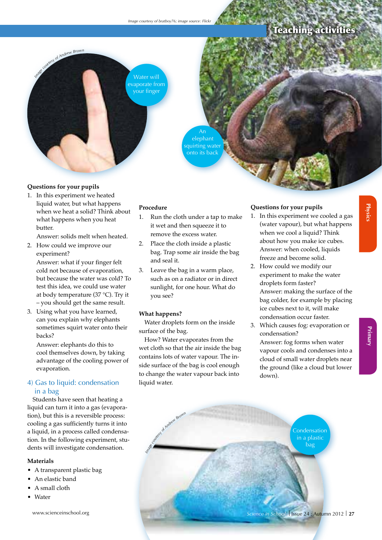# Teaching activities

*Image courtesy of Andrew Brown*



elephant

quirting water onto its back

#### **Questions for your pupils**

1. In this experiment we heated liquid water, but what happens when we heat a solid? Think about what happens when you heat butter.

Answer: solids melt when heated.

- 2. How could we improve our experiment? Answer: what if your finger felt cold not because of evaporation, but because the water was cold? To test this idea, we could use water at body temperature (37 °C). Try it – you should get the same result.
- 3. Using what you have learned, can you explain why elephants sometimes squirt water onto their backs?

Answer: elephants do this to cool themselves down, by taking advantage of the cooling power of evaporation.

# 4) Gas to liquid: condensation in a bag

Students have seen that heating a liquid can turn it into a gas (evaporation), but this is a reversible process: cooling a gas sufficiently turns it into a liquid, in a process called condensation. In the following experiment, students will investigate condensation.

#### **Materials**

- • A transparent plastic bag
- • An elastic band
- A small cloth
- **Water**

# **Procedure**

- 1. Run the cloth under a tap to make it wet and then squeeze it to remove the excess water.
- 2. Place the cloth inside a plastic bag. Trap some air inside the bag and seal it.
- 3. Leave the bag in a warm place, such as on a radiator or in direct sunlight, for one hour. What do you see?

#### **What happens?**

Water droplets form on the inside surface of the bag.

How? Water evaporates from the wet cloth so that the air inside the bag contains lots of water vapour. The inside surface of the bag is cool enough to change the water vapour back into liquid water.

# **Questions for your pupils**

- 1. In this experiment we cooled a gas (water vapour), but what happens when we cool a liquid? Think about how you make ice cubes. Answer: when cooled, liquids freeze and become solid.
- 2. How could we modify our experiment to make the water droplets form faster? Answer: making the surface of the bag colder, for example by placing ice cubes next to it, will make condensation occur faster.
- 3. Which causes fog: evaporation or condensation? Answer: fog forms when water vapour cools and condenses into a cloud of small water droplets near the ground (like a cloud but lower down).



**Physics**